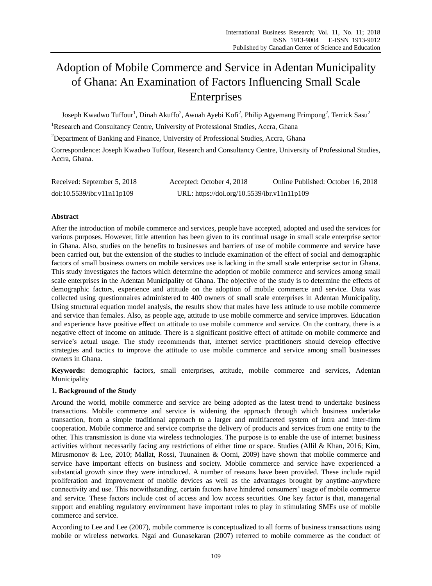# Adoption of Mobile Commerce and Service in Adentan Municipality of Ghana: An Examination of Factors Influencing Small Scale Enterprises

Joseph Kwadwo Tuffour $^{\rm l}$ , Dinah Akuffo $^{\rm 2}$ , Awuah Ayebi Kofi $^{\rm 2}$ , Philip Agyemang Frimpong $^{\rm 2}$ , Terrick Sasu $^{\rm 2}$ 

<sup>1</sup>Research and Consultancy Centre, University of Professional Studies, Accra, Ghana

<sup>2</sup>Department of Banking and Finance, University of Professional Studies, Accra, Ghana

Correspondence: Joseph Kwadwo Tuffour, Research and Consultancy Centre, University of Professional Studies, Accra, Ghana.

| Received: September 5, 2018 | Accepted: October 4, 2018                   | Online Published: October 16, 2018 |
|-----------------------------|---------------------------------------------|------------------------------------|
| doi:10.5539/ibr.v11n11p109  | URL: https://doi.org/10.5539/ibr.v11n11p109 |                                    |

# **Abstract**

After the introduction of mobile commerce and services, people have accepted, adopted and used the services for various purposes. However, little attention has been given to its continual usage in small scale enterprise sector in Ghana. Also, studies on the benefits to businesses and barriers of use of mobile commerce and service have been carried out, but the extension of the studies to include examination of the effect of social and demographic factors of small business owners on mobile services use is lacking in the small scale enterprise sector in Ghana. This study investigates the factors which determine the adoption of mobile commerce and services among small scale enterprises in the Adentan Municipality of Ghana. The objective of the study is to determine the effects of demographic factors, experience and attitude on the adoption of mobile commerce and service. Data was collected using questionnaires administered to 400 owners of small scale enterprises in Adentan Municipality. Using structural equation model analysis, the results show that males have less attitude to use mobile commerce and service than females. Also, as people age, attitude to use mobile commerce and service improves. Education and experience have positive effect on attitude to use mobile commerce and service. On the contrary, there is a negative effect of income on attitude. There is a significant positive effect of attitude on mobile commerce and service's actual usage. The study recommends that, internet service practitioners should develop effective strategies and tactics to improve the attitude to use mobile commerce and service among small businesses owners in Ghana.

**Keywords:** demographic factors, small enterprises, attitude, mobile commerce and services, Adentan Municipality

# **1. Background of the Study**

Around the world, mobile commerce and service are being adopted as the latest trend to undertake business transactions. Mobile commerce and service is widening the approach through which business undertake transaction, from a simple traditional approach to a larger and multifaceted system of intra and inter-firm cooperation. Mobile commerce and service comprise the delivery of products and services from one entity to the other. This transmission is done via wireless technologies. The purpose is to enable the use of internet business activities without necessarily facing any restrictions of either time or space. Studies (Allil & Khan, 2016; Kim, Mirusmonov & Lee, 2010; Mallat, Rossi, Tuunainen & Oorni, 2009) have shown that mobile commerce and service have important effects on business and society. Mobile commerce and service have experienced a substantial growth since they were introduced. A number of reasons have been provided. These include rapid proliferation and improvement of mobile devices as well as the advantages brought by anytime-anywhere connectivity and use. This notwithstanding, certain factors have hindered consumers' usage of mobile commerce and service. These factors include cost of access and low access securities. One key factor is that, managerial support and enabling regulatory environment have important roles to play in stimulating SMEs use of mobile commerce and service.

According to Lee and Lee (2007), mobile commerce is conceptualized to all forms of business transactions using mobile or wireless networks. Ngai and Gunasekaran (2007) referred to mobile commerce as the conduct of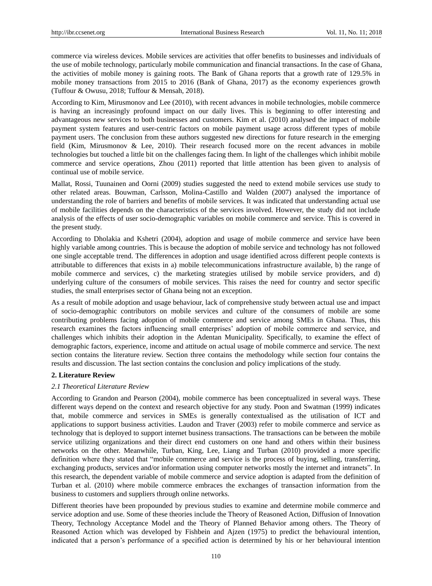commerce via wireless devices. Mobile services are activities that offer benefits to businesses and individuals of the use of mobile technology, particularly mobile communication and financial transactions. In the case of Ghana, the activities of mobile money is gaining roots. The Bank of Ghana reports that a growth rate of 129.5% in mobile money transactions from 2015 to 2016 (Bank of Ghana, 2017) as the economy experiences growth (Tuffour & Owusu, 2018; Tuffour & Mensah, 2018).

According to Kim, Mirusmonov and Lee (2010), with recent advances in mobile technologies, mobile commerce is having an increasingly profound impact on our daily lives. This is beginning to offer interesting and advantageous new services to both businesses and customers. Kim et al. (2010) analysed the impact of mobile payment system features and user-centric factors on mobile payment usage across different types of mobile payment users. The conclusion from these authors suggested new directions for future research in the emerging field (Kim, Mirusmonov & Lee, 2010). Their research focused more on the recent advances in mobile technologies but touched a little bit on the challenges facing them. In light of the challenges which inhibit mobile commerce and service operations, Zhou (2011) reported that little attention has been given to analysis of continual use of mobile service.

Mallat, Rossi, Tuunainen and Oorni (2009) studies suggested the need to extend mobile services use study to other related areas. Bouwman, Carlsson, Molina-Castillo and Walden (2007) analysed the importance of understanding the role of barriers and benefits of mobile services. It was indicated that understanding actual use of mobile facilities depends on the characteristics of the services involved. However, the study did not include analysis of the effects of user socio-demographic variables on mobile commerce and service. This is covered in the present study.

According to Dholakia and Kshetri (2004), adoption and usage of mobile commerce and service have been highly variable among countries. This is because the adoption of mobile service and technology has not followed one single acceptable trend. The differences in adoption and usage identified across different people contexts is attributable to differences that exists in a) mobile telecommunications infrastructure available, b) the range of mobile commerce and services, c) the marketing strategies utilised by mobile service providers, and d) underlying culture of the consumers of mobile services. This raises the need for country and sector specific studies, the small enterprises sector of Ghana being not an exception.

As a result of mobile adoption and usage behaviour, lack of comprehensive study between actual use and impact of socio-demographic contributors on mobile services and culture of the consumers of mobile are some contributing problems facing adoption of mobile commerce and service among SMEs in Ghana. Thus, this research examines the factors influencing small enterprises' adoption of mobile commerce and service, and challenges which inhibits their adoption in the Adentan Municipality. Specifically, to examine the effect of demographic factors, experience, income and attitude on actual usage of mobile commerce and service. The next section contains the literature review. Section three contains the methodology while section four contains the results and discussion. The last section contains the conclusion and policy implications of the study.

## **2. Literature Review**

#### *2.1 Theoretical Literature Review*

According to Grandon and Pearson (2004), mobile commerce has been conceptualized in several ways. These different ways depend on the context and research objective for any study. Poon and Swatman (1999) indicates that, mobile commerce and services in SMEs is generally contextualised as the utilisation of ICT and applications to support business activities. Laudon and Traver (2003) refer to mobile commerce and service as technology that is deployed to support internet business transactions. The transactions can be between the mobile service utilizing organizations and their direct end customers on one hand and others within their business networks on the other. Meanwhile, Turban, King, Lee, Liang and Turban (2010) provided a more specific definition where they stated that "mobile commerce and service is the process of buying, selling, transferring, exchanging products, services and/or information using computer networks mostly the internet and intranets". In this research, the dependent variable of mobile commerce and service adoption is adapted from the definition of Turban et al. (2010) where mobile commerce embraces the exchanges of transaction information from the business to customers and suppliers through online networks.

Different theories have been propounded by previous studies to examine and determine mobile commerce and service adoption and use. Some of these theories include the Theory of Reasoned Action, Diffusion of Innovation Theory, Technology Acceptance Model and the Theory of Planned Behavior among others. The Theory of Reasoned Action which was developed by Fishbein and Ajzen (1975) to predict the behavioural intention, indicated that a person's performance of a specified action is determined by his or her behavioural intention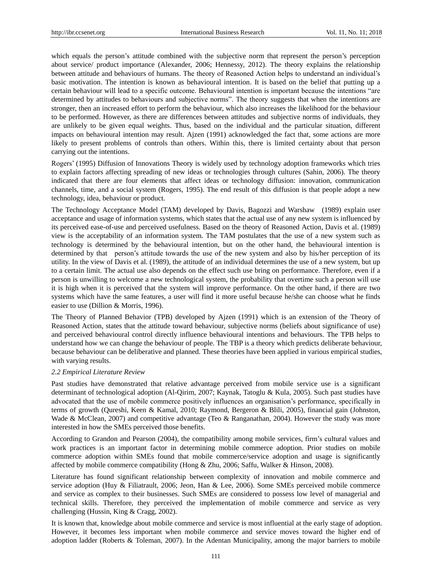which equals the person's attitude combined with the subjective norm that represent the person's perception about service/ product importance (Alexander, 2006; Hennessy, 2012). The theory explains the relationship between attitude and behaviours of humans. The theory of Reasoned Action helps to understand an individual's basic motivation. The intention is known as behavioural intention. It is based on the belief that putting up a certain behaviour will lead to a specific outcome. Behavioural intention is important because the intentions "are determined by attitudes to behaviours and subjective norms". The theory suggests that when the intentions are stronger, then an increased effort to perform the behaviour, which also increases the likelihood for the behaviour to be performed. However, as there are differences between attitudes and subjective norms of individuals, they are unlikely to be given equal weights. Thus, based on the individual and the particular situation, different impacts on behavioural intention may result. Ajzen (1991) acknowledged the fact that, some actions are more likely to present problems of controls than others. Within this, there is limited certainty about that person carrying out the intentions.

Rogers' (1995) Diffusion of Innovations Theory is widely used by technology adoption frameworks which tries to explain factors affecting spreading of new ideas or technologies through cultures (Sahin, 2006). The theory indicated that there are four elements that affect ideas or technology diffusion: innovation, communication channels, time, and a social system (Rogers, 1995). The end result of this diffusion is that people adopt a new technology, idea, behaviour or product.

The Technology Acceptance Model (TAM) developed by Davis, Bagozzi and Warshaw (1989) explain user acceptance and usage of information systems, which states that the actual use of any new system is influenced by its perceived ease-of-use and perceived usefulness. Based on the theory of Reasoned Action, Davis et al. (1989) view is the acceptability of an information system. The TAM postulates that the use of a new system such as technology is determined by the behavioural intention, but on the other hand, the behavioural intention is determined by that person's attitude towards the use of the new system and also by his/her perception of its utility. In the view of Davis et al. (1989), the attitude of an individual determines the use of a new system, but up to a certain limit. The actual use also depends on the effect such use bring on performance. Therefore, even if a person is unwilling to welcome a new technological system, the probability that overtime such a person will use it is high when it is perceived that the system will improve performance. On the other hand, if there are two systems which have the same features, a user will find it more useful because he/she can choose what he finds easier to use (Dillion & Morris, 1996).

The Theory of Planned Behavior (TPB) developed by Ajzen (1991) which is an extension of the Theory of Reasoned Action, states that the attitude toward behaviour, subjective norms (beliefs about significance of use) and perceived behavioural control directly influence behavioural intentions and behaviours. The TPB helps to understand how we can change the behaviour of people. The TBP is a theory which predicts deliberate behaviour, because behaviour can be deliberative and planned. These theories have been applied in various empirical studies, with varying results.

#### *2.2 Empirical Literature Review*

Past studies have demonstrated that relative advantage perceived from mobile service use is a significant determinant of technological adoption (Al-Qirim, 2007; Kaynak, Tatoglu & Kula, 2005). Such past studies have advocated that the use of mobile commerce positively influences an organisation's performance, specifically in terms of growth (Qureshi, Keen & Kamal, 2010; Raymond, Bergeron & Blili, 2005), financial gain (Johnston, Wade & McClean, 2007) and competitive advantage (Teo & Ranganathan, 2004). However the study was more interested in how the SMEs perceived those benefits.

According to Grandon and Pearson (2004), the compatibility among mobile services, firm's cultural values and work practices is an important factor in determining mobile commerce adoption. Prior studies on mobile commerce adoption within SMEs found that mobile commerce/service adoption and usage is significantly affected by mobile commerce compatibility (Hong & Zhu, 2006; Saffu, Walker & Hinson, 2008).

Literature has found significant relationship between complexity of innovation and mobile commerce and service adoption (Huy & Filiatrault, 2006; Jeon, Han & Lee, 2006). Some SMEs perceived mobile commerce and service as complex to their businesses. Such SMEs are considered to possess low level of managerial and technical skills. Therefore, they perceived the implementation of mobile commerce and service as very challenging (Hussin, King & Cragg, 2002).

It is known that, knowledge about mobile commerce and service is most influential at the early stage of adoption. However, it becomes less important when mobile commerce and service moves toward the higher end of adoption ladder (Roberts & Toleman, 2007). In the Adentan Municipality, among the major barriers to mobile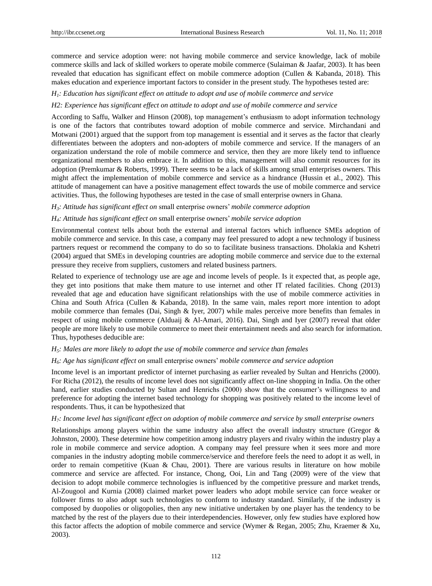commerce and service adoption were: not having mobile commerce and service knowledge, lack of mobile commerce skills and lack of skilled workers to operate mobile commerce (Sulaiman & Jaafar, 2003). It has been revealed that education has significant effect on mobile commerce adoption (Cullen & Kabanda, 2018). This makes education and experience important factors to consider in the present study. The hypotheses tested are:

#### *H1: Education has significant effect on attitude to adopt and use of mobile commerce and service*

#### *H2: Experience has significant effect on attitude to adopt and use of mobile commerce and service*

According to Saffu, Walker and Hinson (2008), top management's enthusiasm to adopt information technology is one of the factors that contributes toward adoption of mobile commerce and service. Mirchandani and Motwani (2001) argued that the support from top management is essential and it serves as the factor that clearly differentiates between the adopters and non-adopters of mobile commerce and service. If the managers of an organization understand the role of mobile commerce and service, then they are more likely tend to influence organizational members to also embrace it. In addition to this, management will also commit resources for its adoption (Premkumar & Roberts, 1999). There seems to be a lack of skills among small enterprises owners. This might affect the implementation of mobile commerce and service as a hindrance (Hussin et al., 2002). This attitude of management can have a positive management effect towards the use of mobile commerce and service activities. Thus, the following hypotheses are tested in the case of small enterprise owners in Ghana.

#### *H3: Attitude has significant effect on* small enterprise owners' *mobile commerce adoption*

#### *H4: Attitude has significant effect on* small enterprise owners' *mobile service adoption*

Environmental context tells about both the external and internal factors which influence SMEs adoption of mobile commerce and service. In this case, a company may feel pressured to adopt a new technology if business partners request or recommend the company to do so to facilitate business transactions. Dholakia and Kshetri (2004) argued that SMEs in developing countries are adopting mobile commerce and service due to the external pressure they receive from suppliers, customers and related business partners.

Related to experience of technology use are age and income levels of people. Is it expected that, as people age, they get into positions that make them mature to use internet and other IT related facilities. Chong (2013) revealed that age and education have significant relationships with the use of mobile commerce activities in China and South Africa (Cullen & Kabanda, 2018). In the same vain, males report more intention to adopt mobile commerce than females (Dai, Singh & Iyer, 2007) while males perceive more benefits than females in respect of using mobile commerce (Alduaij & Al-Amari, 2016). Dai, Singh and Iyer (2007) reveal that older people are more likely to use mobile commerce to meet their entertainment needs and also search for information. Thus, hypotheses deducible are:

## *H5: Males are more likely to adopt the use of mobile commerce and service than females*

#### *H6: Age has significant effect on* small enterprise owners' *mobile commerce and service adoption*

Income level is an important predictor of internet purchasing as earlier revealed by Sultan and Henrichs (2000). For Richa (2012), the results of income level does not significantly affect on-line shopping in India. On the other hand, earlier studies conducted by Sultan and Henrichs (2000) show that the consumer's willingness to and preference for adopting the internet based technology for shopping was positively related to the income level of respondents. Thus, it can be hypothesized that

## *H7: Income level has significant effect on adoption of mobile commerce and service by small enterprise owners*

Relationships among players within the same industry also affect the overall industry structure (Gregor & Johnston, 2000). These determine how competition among industry players and rivalry within the industry play a role in mobile commerce and service adoption. A company may feel pressure when it sees more and more companies in the industry adopting mobile commerce/service and therefore feels the need to adopt it as well, in order to remain competitive (Kuan & Chau, 2001). There are various results in literature on how mobile commerce and service are affected. For instance, Chong, Ooi, Lin and Tang (2009) were of the view that decision to adopt mobile commerce technologies is influenced by the competitive pressure and market trends, Al-Zougool and Kurnia (2008) claimed market power leaders who adopt mobile service can force weaker or follower firms to also adopt such technologies to conform to industry standard. Similarly, if the industry is composed by duopolies or oligopolies, then any new initiative undertaken by one player has the tendency to be matched by the rest of the players due to their interdependencies. However, only few studies have explored how this factor affects the adoption of mobile commerce and service (Wymer & Regan, 2005; Zhu, Kraemer & Xu, 2003).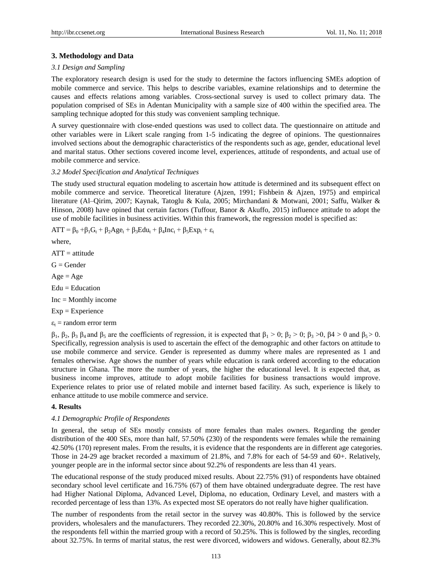## **3. Methodology and Data**

#### *3.1 Design and Sampling*

The exploratory research design is used for the study to determine the factors influencing SMEs adoption of mobile commerce and service. This helps to describe variables, examine relationships and to determine the causes and effects relations among variables. Cross-sectional survey is used to collect primary data. The population comprised of SEs in Adentan Municipality with a sample size of 400 within the specified area. The sampling technique adopted for this study was convenient sampling technique.

A survey questionnaire with close-ended questions was used to collect data. The questionnaire on attitude and other variables were in Likert scale ranging from 1-5 indicating the degree of opinions. The questionnaires involved sections about the demographic characteristics of the respondents such as age, gender, educational level and marital status. Other sections covered income level, experiences, attitude of respondents, and actual use of mobile commerce and service.

#### *3.2 Model Specification and Analytical Techniques*

The study used structural equation modeling to ascertain how attitude is determined and its subsequent effect on mobile commerce and service. Theoretical literature (Ajzen, 1991; Fishbein & Ajzen, 1975) and empirical literature (Al–Qirim, 2007; Kaynak, Tatoglu & Kula, 2005; Mirchandani & Motwani, 2001; Saffu, Walker & Hinson, 2008) have opined that certain factors (Tuffour, Banor & Akuffo, 2015) influence attitude to adopt the use of mobile facilities in business activities. Within this framework, the regression model is specified as:

 $ATT = \beta_0 + \beta_1 G_t + \beta_2 Age_t + \beta_3 Edu_t + \beta_4 Inc_t + \beta_5 Exp_t + \varepsilon_t$ 

where,

 $ATT =$ attitude

 $G =$ Gender

 $Age = Age$ 

 $Edu = Education$ 

Inc = Monthly income

Exp = Experience

 $\varepsilon_t$  = random error term

 $β_1$ ,  $β_2$ ,  $β_3$ ,  $β_4$  and  $β_5$  are the coefficients of regression, it is expected that  $β_1 > 0$ ;  $β_2 > 0$ ;  $β_3 > 0$ ,  $β4 > 0$  and  $β_5 > 0$ . Specifically, regression analysis is used to ascertain the effect of the demographic and other factors on attitude to use mobile commerce and service. Gender is represented as dummy where males are represented as 1 and females otherwise. Age shows the number of years while education is rank ordered according to the education structure in Ghana. The more the number of years, the higher the educational level. It is expected that, as business income improves, attitude to adopt mobile facilities for business transactions would improve. Experience relates to prior use of related mobile and internet based facility. As such, experience is likely to enhance attitude to use mobile commerce and service.

# **4. Results**

#### *4.1 Demographic Profile of Respondents*

In general, the setup of SEs mostly consists of more females than males owners. Regarding the gender distribution of the 400 SEs, more than half, 57.50% (230) of the respondents were females while the remaining 42.50% (170) represent males. From the results, it is evidence that the respondents are in different age categories. Those in 24-29 age bracket recorded a maximum of 21.8%, and 7.8% for each of 54-59 and 60+. Relatively, younger people are in the informal sector since about 92.2% of respondents are less than 41 years.

The educational response of the study produced mixed results. About 22.75% (91) of respondents have obtained secondary school level certificate and 16.75% (67) of them have obtained undergraduate degree. The rest have had Higher National Diploma, Advanced Level, Diploma, no education, Ordinary Level, and masters with a recorded percentage of less than 13%. As expected most SE operators do not really have higher qualification.

The number of respondents from the retail sector in the survey was 40.80%. This is followed by the service providers, wholesalers and the manufacturers. They recorded 22.30%, 20.80% and 16.30% respectively. Most of the respondents fell within the married group with a record of 50.25%. This is followed by the singles, recording about 32.75%. In terms of marital status, the rest were divorced, widowers and widows. Generally, about 82.3%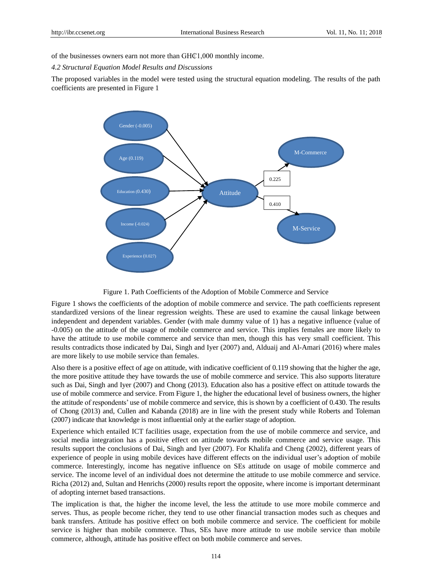of the businesses owners earn not more than GH $Cl$ 1,000 monthly income.

*4.2 Structural Equation Model Results and Discussions*

The proposed variables in the model were tested using the structural equation modeling. The results of the path coefficients are presented in Figure 1



#### Figure 1. Path Coefficients of the Adoption of Mobile Commerce and Service

Figure 1 shows the coefficients of the adoption of mobile commerce and service. The path coefficients represent standardized versions of the linear regression weights. These are used to examine the causal linkage between independent and dependent variables. Gender (with male dummy value of 1) has a negative influence (value of -0.005) on the attitude of the usage of mobile commerce and service. This implies females are more likely to have the attitude to use mobile commerce and service than men, though this has very small coefficient. This results contradicts those indicated by Dai, Singh and Iyer (2007) and, Alduaij and Al-Amari (2016) where males are more likely to use mobile service than females.

Also there is a positive effect of age on attitude, with indicative coefficient of 0.119 showing that the higher the age, the more positive attitude they have towards the use of mobile commerce and service. This also supports literature such as Dai, Singh and Iyer (2007) and Chong (2013). Education also has a positive effect on attitude towards the use of mobile commerce and service. From Figure 1, the higher the educational level of business owners, the higher the attitude of respondents' use of mobile commerce and service, this is shown by a coefficient of 0.430. The results of Chong (2013) and, Cullen and Kabanda (2018) are in line with the present study while Roberts and Toleman (2007) indicate that knowledge is most influential only at the earlier stage of adoption.

Experience which entailed ICT facilities usage, expectation from the use of mobile commerce and service, and social media integration has a positive effect on attitude towards mobile commerce and service usage. This results support the conclusions of Dai, Singh and Iyer (2007). For Khalifa and Cheng (2002), different years of experience of people in using mobile devices have different effects on the individual user's adoption of mobile commerce. Interestingly, income has negative influence on SEs attitude on usage of mobile commerce and service. The income level of an individual does not determine the attitude to use mobile commerce and service. Richa (2012) and, Sultan and Henrichs (2000) results report the opposite, where income is important determinant of adopting internet based transactions.

The implication is that, the higher the income level, the less the attitude to use more mobile commerce and serves. Thus, as people become richer, they tend to use other financial transaction modes such as cheques and bank transfers. Attitude has positive effect on both mobile commerce and service. The coefficient for mobile service is higher than mobile commerce. Thus, SEs have more attitude to use mobile service than mobile commerce, although, attitude has positive effect on both mobile commerce and serves.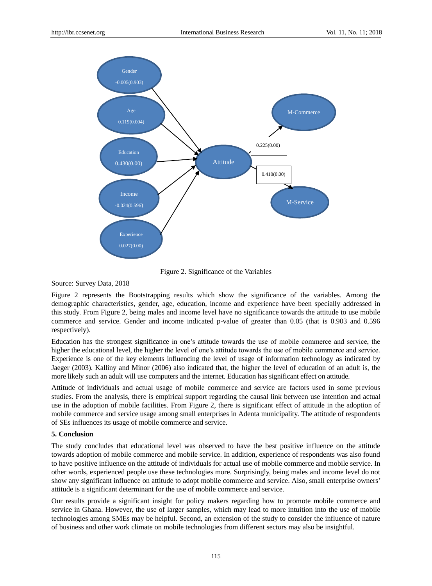

Figure 2. Significance of the Variables

Source: Survey Data, 2018

Figure 2 represents the Bootstrapping results which show the significance of the variables. Among the demographic characteristics, gender, age, education, income and experience have been specially addressed in this study. From Figure 2, being males and income level have no significance towards the attitude to use mobile commerce and service. Gender and income indicated p-value of greater than 0.05 (that is 0.903 and 0.596 respectively).

Education has the strongest significance in one's attitude towards the use of mobile commerce and service, the higher the educational level, the higher the level of one's attitude towards the use of mobile commerce and service. Experience is one of the key elements influencing the level of usage of information technology as indicated by Jaeger (2003). Kalliny and Minor (2006) also indicated that, the higher the level of education of an adult is, the more likely such an adult will use computers and the internet. Education has significant effect on attitude.

Attitude of individuals and actual usage of mobile commerce and service are factors used in some previous studies. From the analysis, there is empirical support regarding the causal link between use intention and actual use in the adoption of mobile facilities. From Figure 2, there is significant effect of attitude in the adoption of mobile commerce and service usage among small enterprises in Adenta municipality. The attitude of respondents of SEs influences its usage of mobile commerce and service.

### **5. Conclusion**

The study concludes that educational level was observed to have the best positive influence on the attitude towards adoption of mobile commerce and mobile service. In addition, experience of respondents was also found to have positive influence on the attitude of individuals for actual use of mobile commerce and mobile service. In other words, experienced people use these technologies more. Surprisingly, being males and income level do not show any significant influence on attitude to adopt mobile commerce and service. Also, small enterprise owners' attitude is a significant determinant for the use of mobile commerce and service.

Our results provide a significant insight for policy makers regarding how to promote mobile commerce and service in Ghana. However, the use of larger samples, which may lead to more intuition into the use of mobile technologies among SMEs may be helpful. Second, an extension of the study to consider the influence of nature of business and other work climate on mobile technologies from different sectors may also be insightful.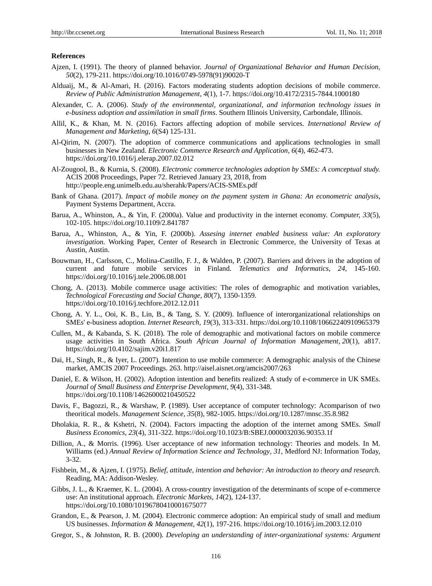## **References**

- Ajzen, I. (1991). The theory of planned behavior. *Journal of Organizational Behavior and Human Decision, 50*(2), 179-211. https://doi.org/10.1016/0749-5978(91)90020-T
- Alduaij, M., & Al-Amari, H. (2016). Factors moderating students adoption decisions of mobile commerce. *Review of Public Administration Management*, *4*(1), 1-7. https://doi.org/10.4172/2315-7844.1000180
- Alexander, C. A. (2006). *Study of the environmental, organizational, and information technology issues in e-business adoption and assimilation in small firms*. Southern Illinois University, Carbondale, Illinois.
- Allil, K., & Khan, M. N. (2016). Factors affecting adoption of mobile services. *International Review of Management and Marketing, 6*(S4) 125-131.
- Al-Qirim, N. (2007). The adoption of commerce communications and applications technologies in small businesses in New Zealand. *Electronic Commerce Research and Application, 6*(4), 462-473. https://doi.org/10.1016/j.elerap.2007.02.012
- Al-Zougool, B., & Kurnia, S. (2008). *Electronic commerce technologies adoption by SMEs: A comceptual study.* ACIS 2008 Proceedings, Paper 72. Retrieved January 23, 2018, from http://people.eng.unimelb.edu.au/sherahk/Papers/ACIS-SMEs.pdf
- Bank of Ghana. (2017). *Impact of mobile money on the payment system in Ghana: An econometric analysis*, Payment Systems Department, Accra.
- Barua, A., Whinston, A., & Yin, F. (2000a). Value and productivity in the internet economy. *Computer, 33*(5), 102-105. https://doi.org/10.1109/2.841787
- Barua, A., Whinston, A., & Yin, F. (2000b). *Assesing internet enabled business value: An exploratory investigation.* Working Paper, Center of Research in Electronic Commerce, the University of Texas at Austin, Austin.
- Bouwman, H., Carlsson, C., Molina-Castillo, F. J., & Walden, P. (2007). Barriers and drivers in the adoption of current and future mobile services in Finland. *Telematics and Informatics, 24*, 145-160. https://doi.org/10.1016/j.tele.2006.08.001
- Chong, A. (2013). Mobile commerce usage activities: The roles of demographic and motivation variables, *Technological Forecasting and Social Change, 80*(7), 1350-1359. https://doi.org/10.1016/j.techfore.2012.12.011
- Chong, A. Y. L., Ooi, K. B., Lin, B., & Tang, S. Y. (2009). Influence of interorganizational relationships on SMEs' e-business adoption. *Internet Research, 19*(3), 313-331. https://doi.org/10.1108/10662240910965379
- Cullen, M., & Kabanda, S. K. (2018). The role of demographic and motivational factors on mobile commerce usage activities in South Africa. *South African Journal of Information Management, 20*(1), a817. https://doi.org/10.4102/sajim.v20i1.817
- Dai, H., Singh, R., & Iyer, L. (2007). Intention to use mobile commerce: A demographic analysis of the Chinese market, AMCIS 2007 Proceedings. 263[. http://aisel.aisnet.org/amcis2007/263](http://aisel.aisnet.org/amcis2007/263)
- Daniel, E. & Wilson, H. (2002). Adoption intention and benefits realized: A study of e-commerce in UK SMEs. *Journal of Small Business and Enterprise Development, 9*(4), 331-348. https://doi.org/10.1108/14626000210450522
- Davis, F., Bagozzi, R., & Warshaw, P. (1989). User acceptance of computer technology: Acomparison of two theoritical models. *Management Science, 35*(8), 982-1005. https://doi.org/10.1287/mnsc.35.8.982
- Dholakia, R. R., & Kshetri, N. (2004). Factors impacting the adoption of the internet among SMEs. *Small Business Economics, 23*(4), 311-322. https://doi.org/10.1023/B:SBEJ.0000032036.90353.1f
- Dillion, A., & Morris. (1996). User acceptance of new information technology: Theories and models. In M. Williams (ed.) *Annual Review of Information Science and Technology*, *31,* Medford NJ: Information Today, 3-32.
- Fishbein, M., & Ajzen, I. (1975). *Belief, attitude, intention and behavior: An introduction to theory and research.* Reading, MA: Addison-Wesley.
- Gibbs, J. L., & Kraemer, K. L. (2004). A cross-country investigation of the determinants of scope of e-commerce use: An institutional approach. *Electronic Markets, 14*(2), 124-137. https://doi.org/10.1080/10196780410001675077
- Grandon, E., & Pearson, J. M. (2004). Electronic commerce adoption: An empirical study of small and medium US businesses. *Information & Management, 42*(1), 197-216. https://doi.org/10.1016/j.im.2003.12.010
- Gregor, S., & Johnston, R. B. (2000). *Developing an understanding of inter-organizational systems: Argument*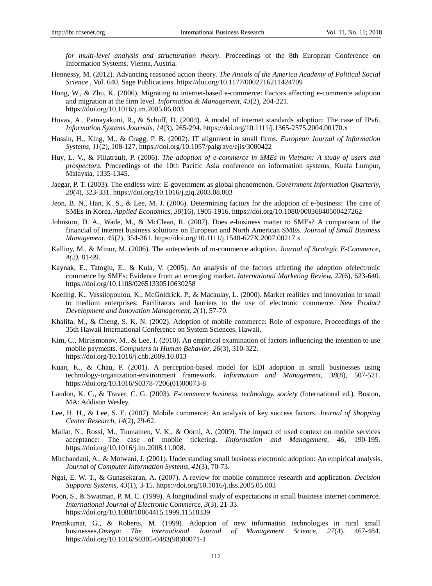*for multi-level analysis and structuration theory*. Proceedings of the 8th European Conference on Information Systems. Vienna, Austria.

- Hennessy, M. (2012). Advancing reasoned action theory. *The Annals of the America Academy of Political Social Science* , Vol. 640, Sage Publications. https://doi.org/10.1177/0002716211424709
- Hong, W., & Zhu, K. (2006). Migrating to internet-based e-commerce: Factors affecting e-commerce adoption and migration at the firm level. *Information & Management, 43*(2), 204-221. https://doi.org/10.1016/j.im.2005.06.003
- Hovav, A., Patnayakuni, R., & Schuff, D. (2004). A model of internet standards adoption: The case of IPv6. *Information Systems Journals, 14*(3), 265-294. https://doi.org/10.1111/j.1365-2575.2004.00170.x
- Hussin, H., King, M., & Cragg, P. B. (2002). IT alignment in small firms. *European Journal of Information Systems, 11*(2), 108-127. https://doi.org/10.1057/palgrave/ejis/3000422
- Huy, L. V., & Filiatrault, P. (2006). *The adoption of e-commerce in SMEs in Vietnam: A study of users and prospectors*. Proceedings of the 10th Pacific Asia conference on information systems, Kuala Lumpur, Malaysia, 1335-1345.
- Jaegar, P. T. (2003). The endless wire: E-government as global phenomenon. *Government Information Quarterly, 20*(4), 323-331. https://doi.org/10.1016/j.giq.2003.08.003
- Jeon, B. N., Han, K. S., & Lee, M. J. (2006). Determining factors for the adoption of e-business: The case of SMEs in Korea. *Applied Economics, 38*(16), 1905-1916. https://doi.org/10.1080/00036840500427262
- Johnston, D. A., Wade, M., & McClean, R. (2007). Does e-business matter to SMEs? A comparison of the financial of internet business solutions on European and North American SMEs. *Journal of Small Business Management, 45*(2), 354-361. https://doi.org/10.1111/j.1540-627X.2007.00217.x
- Kalliny, M., & Minor, M. (2006). The antecedents of m-commerce adoption. *Journal of Strategic E-Commerce, 4(2)*, 81-99.
- Kaynak, E., Tatoglu, E., & Kula, V. (2005). An analysis of the factors affecting the adoption ofelectronic commerce by SMEs: Evidence from an emerging market. *International Marketing Review, 22*(6), 623-640*.* https://doi.org/10.1108/02651330510630258
- Keeling, K., Vassilopoulou, K., McGoldrick, P., & Macaulay, L. (2000). Market realities and innovation in small to medium enterprises: Facilitators and barriers to the use of electronic commerce. *New Product Development and Innovation Management, 2*(1), 57-70.
- Khalifa, M., & Cheng, S. K. N. (2002). Adoption of mobile commerce: Role of exposure, Proceedings of the 35th Hawaii International Conference on System Sciences, Hawaii.
- Kim, C., Mirusmonov, M., & Lee, I. (2010). An empirical examination of factors influencing the intention to use mobile payments. *Computers in Human Behavior, 26*(3), 310-322. https://doi.org/10.1016/j.chb.2009.10.013
- Kuan, K., & Chau, P. (2001). A perception-based model for EDI adoption in small businesses using technology-organization-environment framework. *Information and Management, 38*(8), 507-521. https://doi.org/10.1016/S0378-7206(01)00073-8
- Laudon, K. C., & Traver, C. G. (2003). *E-commerce business, technology, society* (International ed.)*.* Boston, MA: Addison Wesley.
- Lee, H. H., & Lee, S. E. (2007). Mobile commerce: An analysis of key success factors. *Journal of Shopping Center Research, 14*(2), 29-62.
- Mallat, N., Rossi, M., Tuunainen, V. K., & Oorni, A. (2009). The impact of used context on mobile services acceptance: The case of mobile ticketing. *Iinformation and Management, 46*, 190-195. https://doi.org/10.1016/j.im.2008.11.008.
- Mirchandani, A., & Motwani, J. (2001). Understanding small business electronic adoption: An empirical analysis. *Journal of Computer Information Systems, 41*(3), 70-73.
- Ngai, E. W. T., & Gunasekaran, A. (2007). A review for mobile commerce research and application. *Decision Supports Systems, 43*(1), 3-15. https://doi.org/10.1016/j.dss.2005.05.003
- Poon, S., & Swatman, P. M. C. (1999). A longitudinal study of expectations in small business internet commerce. *International Journal of Electronic Commerce, 3*(3), 21-33. https://doi.org/10.1080/10864415.1999.11518339
- Premkumar, G., & Roberts, M. (1999). Adoption of new information technologies in rural small businesses.*Omega*: *The international Journal of Management Science, 27*(4), 467-484. https://doi.org/10.1016/S0305-0483(98)00071-1